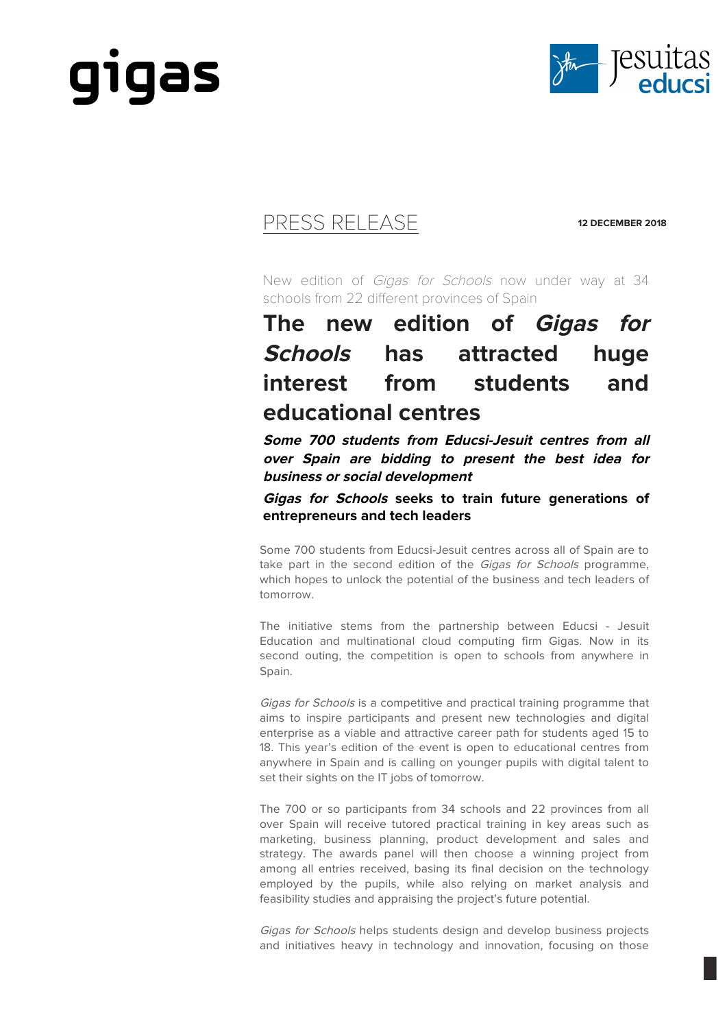



### PRESS RELEASE **12 DECEMBER 2018**

New edition of Gigas for Schools now under way at 34 schools from 22 different provinces of Spain

## **The new edition of Gigas for Schools has attracted huge interest from students and educational centres**

**Some 700 students from Educsi-Jesuit centres from all over Spain are bidding to present the best idea for business or social development** 

**Gigas for Schools seeks to train future generations of entrepreneurs and tech leaders**

Some 700 students from Educsi-Jesuit centres across all of Spain are to take part in the second edition of the Gigas for Schools programme, which hopes to unlock the potential of the business and tech leaders of tomorrow.

The initiative stems from the partnership between Educsi - Jesuit Education and multinational cloud computing firm Gigas. Now in its second outing, the competition is open to schools from anywhere in Spain.

Gigas for Schools is a competitive and practical training programme that aims to inspire participants and present new technologies and digital enterprise as a viable and attractive career path for students aged 15 to 18. This year's edition of the event is open to educational centres from anywhere in Spain and is calling on younger pupils with digital talent to set their sights on the IT jobs of tomorrow.

The 700 or so participants from 34 schools and 22 provinces from all over Spain will receive tutored practical training in key areas such as marketing, business planning, product development and sales and strategy. The awards panel will then choose a winning project from among all entries received, basing its final decision on the technology employed by the pupils, while also relying on market analysis and feasibility studies and appraising the project's future potential.

Gigas for Schools helps students design and develop business projects and initiatives heavy in technology and innovation, focusing on those